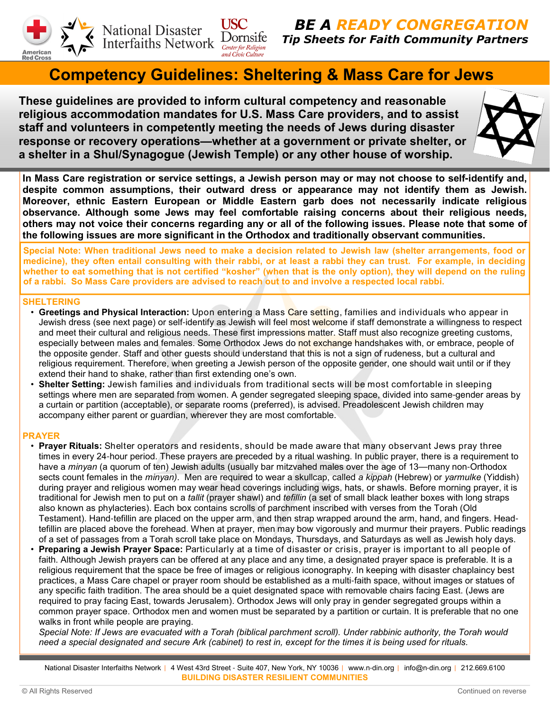

National Disaster<br>Interfaiths Network Dornsife

**BE A READY CONGREGATIC** Tip Sheets for Faith Community Partners

# Competency Guidelines: Sheltering & Mass Care for Jews

These guidelines are provided to inform cultural competency and reasonable religious accommodation mandates for U.S. Mass Care providers, and to assist staff and volunteers in competently meeting the needs of Jews during disaster response or recovery operations**—**whether at a government or private shelter, or a shelter in a Shul/Synagogue (Jewish Temple) or any other house of worship.

**USC** 



In Mass Care registration or service settings, a Jewish person may or may not choose to self**-**identify and, despite common assumptions, their outward dress or appearance may not identify them as Jewish. Moreover, ethnic Eastern European or Middle Eastern garb does not necessarily indicate religious observance. Although some Jews may feel comfortable raising concerns about their religious needs, others may not voice their concerns regarding any or all of the following issues. Please note that some of the following issues are more significant in the Orthodox and traditionally observant communities.

Special Note: When traditional Jews need to make a decision related to Jewish law (shelter arrangements, food or medicine), they often entail consulting with their rabbi, or at least a rabbi they can trust. For example, in deciding whether to eat something that is not certified "kosher" (when that is the only option), they will depend on the ruling of a rabbi. So Mass Care providers are advised to reach out to and involve a respected local rabbi.

# SHELTERING

- Greetings and Physical Interaction: Upon entering a Mass Care setting, families and individuals who appear in Jewish dress (see next page) or self-identify as Jewish will feel most welcome if staff demonstrate a willingness to respect and meet their cultural and religious needs. These first impressions matter. Staff must also recognize greeting customs, especially between males and females. Some Orthodox Jews do not exchange handshakes with, or embrace, people of the opposite gender. Staff and other quests should understand that this is not a sign of rudeness, but a cultural and religious requirement. Therefore, when greeting a Jewish person of the opposite gender, one should wait until or if they extend their hand to shake, rather than first extending one's own.
- Shelter Setting: Jewish families and individuals from traditional sects will be most comfortable in sleeping settings where men are separated from women. A gender segregated sleeping space, divided into same-gender areas by a curtain or partition (acceptable), or separate rooms (preferred), is advised. Preadolescent Jewish children may accompany either parent or guardian, wherever they are most comfortable.

# PRAYER

- Prayer Rituals: Shelter operators and residents, should be made aware that many observant Jews pray three times in every 24-hour period. These prayers are preceded by a ritual washing. In public prayer, there is a requirement to have a *minyan* (a quorum of ten) Jewish adults (usually bar mitzvahed males over the age of 13—many non-Orthodox sects count females in the *minyan*). Men are required to wear a skullcap, called a kippah (Hebrew) or yarmulke (Yiddish) during prayer and religious women may wear head coverings including wigs, hats, or shawls. Before morning prayer, it is traditional for Jewish men to put on a tallit (prayer shawl) and tefillin (a set of small black leather boxes with long straps also known as phylacteries). Each box contains scrolls of parchment inscribed with verses from the Torah (Old Testament). Hand-tefillin are placed on the upper arm, and then strap wrapped around the arm, hand, and fingers. Headtefillin are placed above the forehead. When at prayer, men may bow vigorously and murmur their prayers. Public readings of a set of passages from a Torah scroll take place on Mondays, Thursdays, and Saturdays as well as Jewish holy days.
- **Preparing a Jewish Prayer Space:** Particularly at a time of disaster or crisis, prayer is important to all people of faith. Although Jewish prayers can be offered at any place and any time, a designated prayer space is preferable. It is a religious requirement that the space be free of images or religious iconography. In keeping with disaster chaplaincy best practices, a Mass Care chapel or prayer room should be established as a multi-faith space, without images or statues of any specific faith tradition. The area should be a quiet designated space with removable chairs facing East. (Jews are required to pray facing East, towards Jerusalem). Orthodox Jews will only pray in gender segregated groups within a common prayer space. Orthodox men and women must be separated by a partition or curtain. It is preferable that no one walks in front while people are praying.

Special Note: If Jews are evacuated with a Torah (biblical parchment scroll). Under rabbinic authority, the Torah would need a special designated and secure Ark (cabinet) to rest in, except for the times it is being used for rituals.

National Disaster Interfaiths Network | 4 West 43rd Street - Suite 407, New York, NY 10036 | www.n-din.org | info@n-din.org | 212.669.6100 BUILDING DISASTER RESILIENT COMMUNITIES